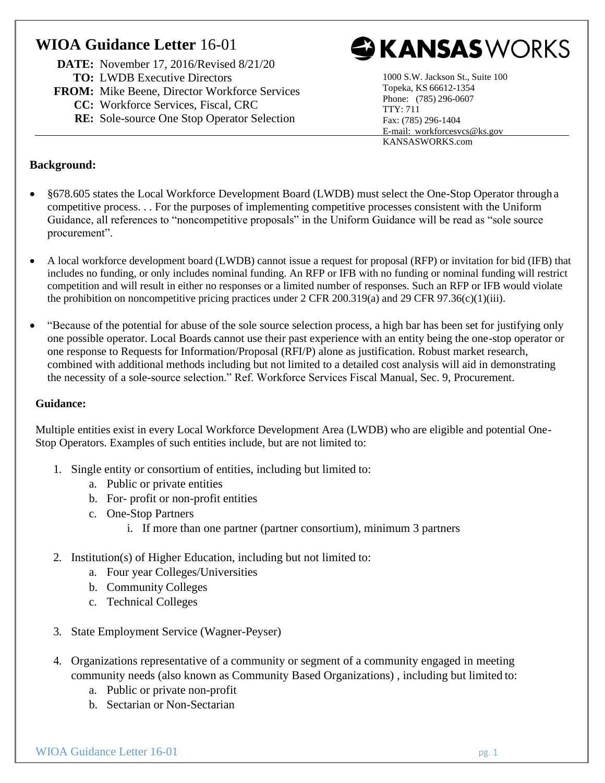## **WIOA Guidance Letter** 16-01

**DATE:** November 17, 2016/Revised 8/21/20 **TO:** LWDB Executive Directors

- **FROM:** Mike Beene, Director Workforce Services
	- **CC:** Workforce Services, Fiscal, CRC
	- **RE:** Sole-source One Stop Operator Selection



1000 S.W. Jackson St., Suite 100 Topeka, KS 66612-1354 Phone: (785) 296-0607 TTY: 711 Fax: (785) 296-1404 E-mail: [workforcesvcs@ks.gov](mailto:workforcesvcs@ks.gov) KANSASWORKS.com

## **Background:**

- §678.605 states the Local Workforce Development Board (LWDB) must select the One-Stop Operator through a competitive process. . . For the purposes of implementing competitive processes consistent with the Uniform Guidance, all references to "noncompetitive proposals" in the Uniform Guidance will be read as "sole source procurement".
- A local workforce development board (LWDB) cannot issue a request for proposal (RFP) or invitation for bid (IFB) that includes no funding, or only includes nominal funding. An RFP or IFB with no funding or nominal funding will restrict competition and will result in either no responses or a limited number of responses. Such an RFP or IFB would violate the prohibition on noncompetitive pricing practices under  $2$  CFR  $200.319(a)$  and  $29$  CFR  $97.36(c)(1)(iii)$ .
- "Because of the potential for abuse of the sole source selection process, a high bar has been set for justifying only one possible operator. Local Boards cannot use their past experience with an entity being the one-stop operator or one response to Requests for Information/Proposal (RFI/P) alone as justification. Robust market research, combined with additional methods including but not limited to a detailed cost analysis will aid in demonstrating the necessity of a sole-source selection." Ref. Workforce Services Fiscal Manual, Sec. 9, Procurement.

## **Guidance:**

Multiple entities exist in every Local Workforce Development Area (LWDB) who are eligible and potential One-Stop Operators. Examples of such entities include, but are not limited to:

- 1. Single entity or consortium of entities, including but limited to:
	- a. Public or private entities
	- b. For- profit or non-profit entities
	- c. One-Stop Partners
		- i. If more than one partner (partner consortium), minimum 3 partners
- 2. Institution(s) of Higher Education, including but not limited to:
	- a. Four year Colleges/Universities
	- b. Community Colleges
	- c. Technical Colleges
- 3. State Employment Service (Wagner-Peyser)
- 4. Organizations representative of a community or segment of a community engaged in meeting community needs (also known as Community Based Organizations) , including but limited to:
	- a. Public or private non-profit
	- b. Sectarian or Non-Sectarian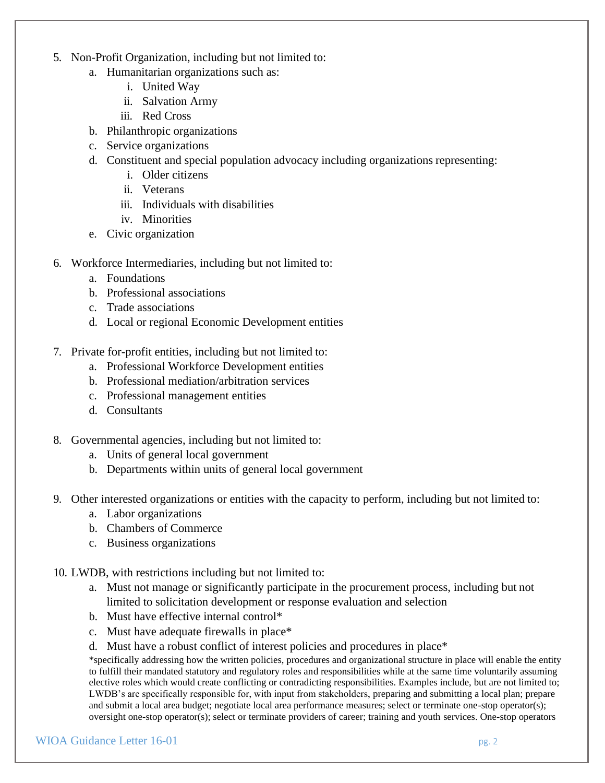- 5. Non-Profit Organization, including but not limited to:
	- a. Humanitarian organizations such as:
		- i. United Way
		- ii. Salvation Army
		- iii. Red Cross
	- b. Philanthropic organizations
	- c. Service organizations
	- d. Constituent and special population advocacy including organizations representing:
		- i. Older citizens
		- ii. Veterans
		- iii. Individuals with disabilities
		- iv. Minorities
	- e. Civic organization
- 6. Workforce Intermediaries, including but not limited to:
	- a. Foundations
	- b. Professional associations
	- c. Trade associations
	- d. Local or regional Economic Development entities
- 7. Private for-profit entities, including but not limited to:
	- a. Professional Workforce Development entities
	- b. Professional mediation/arbitration services
	- c. Professional management entities
	- d. Consultants
- 8. Governmental agencies, including but not limited to:
	- a. Units of general local government
	- b. Departments within units of general local government
- 9. Other interested organizations or entities with the capacity to perform, including but not limited to:
	- a. Labor organizations
	- b. Chambers of Commerce
	- c. Business organizations
- 10. LWDB, with restrictions including but not limited to:
	- a. Must not manage or significantly participate in the procurement process, including but not limited to solicitation development or response evaluation and selection
	- b. Must have effective internal control\*
	- c. Must have adequate firewalls in place\*
	- d. Must have a robust conflict of interest policies and procedures in place\*

\*specifically addressing how the written policies, procedures and organizational structure in place will enable the entity to fulfill their mandated statutory and regulatory roles and responsibilities while at the same time voluntarily assuming elective roles which would create conflicting or contradicting responsibilities. Examples include, but are not limited to; LWDB's are specifically responsible for, with input from stakeholders, preparing and submitting a local plan; prepare and submit a local area budget; negotiate local area performance measures; select or terminate one-stop operator(s); oversight one-stop operator(s); select or terminate providers of career; training and youth services. One-stop operators